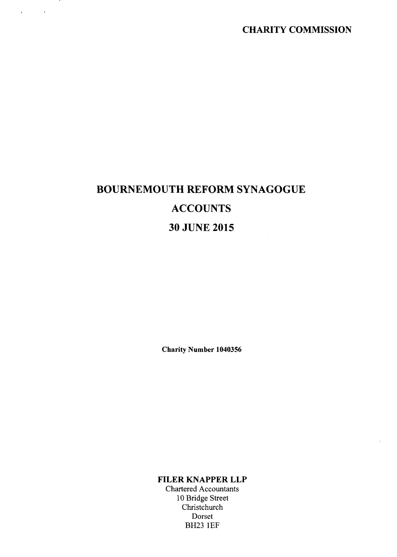# CHARITY COMMISSION

# BOURNEMOUTH REFORM SYNAGOGUE **ACCOUNTS** 30 JUNE 2015

 $\alpha$  ,  $\beta$  ,  $\beta$  ,  $\alpha$ 

Charity Number 1040356

FILER KNAPPER LLP

Chartered Accountants 10 Bridge Street Christchurch Dorset BH23 1EF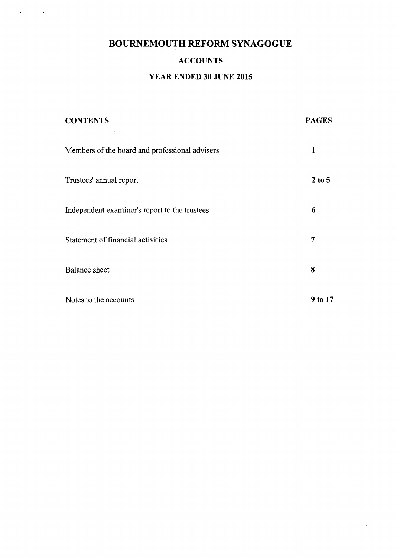$\sqrt{1-\frac{1}{2}}$  and  $\sqrt{1-\frac{1}{2}}$ 

# ACCOUNTS

# YEAR ENDED 30 JUNE 2015

| <b>CONTENTS</b>                                | <b>PAGES</b> |
|------------------------------------------------|--------------|
| Members of the board and professional advisers | 1            |
| Trustees' annual report                        | $2$ to 5     |
| Independent examiner's report to the trustees  | 6            |
| Statement of financial activities              | 7            |
| Balance sheet                                  | 8            |
| Notes to the accounts                          | 9 to 17      |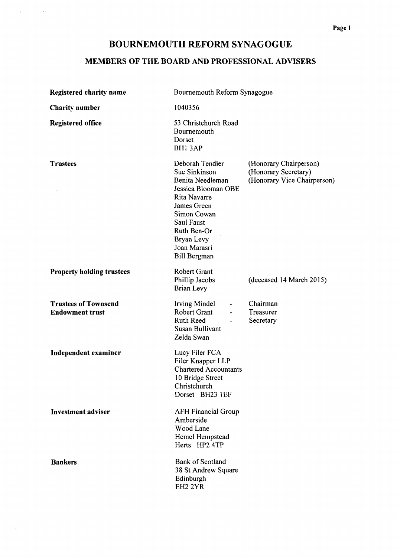$\alpha$  , and  $\alpha$  , and  $\alpha$ 

# MEMBERS OF THE BOARD AND PROFESSIONAL ADVISERS

| <b>Registered charity name</b>                        | Bournemouth Reform Synagogue                                                                                                                                                                                |                                                                               |  |  |
|-------------------------------------------------------|-------------------------------------------------------------------------------------------------------------------------------------------------------------------------------------------------------------|-------------------------------------------------------------------------------|--|--|
| <b>Charity number</b>                                 | 1040356                                                                                                                                                                                                     |                                                                               |  |  |
| <b>Registered office</b>                              | 53 Christchurch Road<br>Bournemouth<br>Dorset<br><b>BH13AP</b>                                                                                                                                              |                                                                               |  |  |
| <b>Trustees</b>                                       | Deborah Tendler<br>Sue Sinkinson<br>Benita Needleman<br>Jessica Blooman OBE<br>Rita Navarre<br>James Green<br>Simon Cowan<br>Saul Faust<br>Ruth Ben-Or<br>Bryan Levy<br>Joan Marasri<br><b>Bill Bergman</b> | (Honorary Chairperson)<br>(Honorary Secretary)<br>(Honorary Vice Chairperson) |  |  |
| <b>Property holding trustees</b>                      | <b>Robert Grant</b><br>Phillip Jacobs<br>Brian Levy                                                                                                                                                         | (deceased 14 March 2015)                                                      |  |  |
| <b>Trustees of Townsend</b><br><b>Endowment trust</b> | <b>Irving Mindel</b><br>$\blacksquare$<br>Robert Grant<br>$\overline{\phantom{a}}$<br><b>Ruth Reed</b><br>$\overline{\phantom{a}}$<br><b>Susan Bullivant</b><br>Zelda Swan                                  | Chairman<br>Treasurer<br>Secretary                                            |  |  |
| Independent examiner                                  | Lucy Filer FCA<br>Filer Knapper LLP<br><b>Chartered Accountants</b><br>10 Bridge Street<br>Christchurch<br>Dorset BH23 1EF                                                                                  |                                                                               |  |  |
| <b>Investment adviser</b>                             | <b>AFH Financial Group</b><br>Amberside<br>Wood Lane<br>Hemel Hempstead<br>Herts HP2 4TP                                                                                                                    |                                                                               |  |  |
| <b>Bankers</b>                                        | <b>Bank of Scotland</b><br>38 St Andrew Square<br>Edinburgh<br>EH <sub>2</sub> 2YR                                                                                                                          |                                                                               |  |  |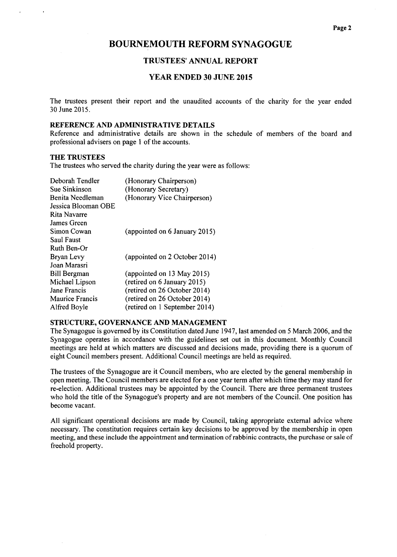#### TRUSTEES' ANNUAL REPORT

#### YEAR ENDED 30 JUNE 2015

The trustees present their report and the unaudited accounts of the charity for the year ended 30 June 2015.

#### REFERENCE AND ADMINISTRATIVE DETAILS

 $\sim$ 

Reference and administrative details are shown in the schedule of members of the board and professional advisers on page <sup>1</sup> of the accounts.

#### **THE TRUSTEES**

 $\mathcal{L}^{\mathcal{L}}$  and  $\mathcal{L}^{\mathcal{L}}$  . The  $\mathcal{L}^{\mathcal{L}}$ 

 $\ddot{\phantom{1}}$ 

The trustees who served the charity during the year were as follows:

 $\mathbb{R}^n$ 

| Deborah Tendler     | (Honorary Chairperson)        |
|---------------------|-------------------------------|
| Sue Sinkinson       | (Honorary Secretary)          |
| Benita Needleman    | (Honorary Vice Chairperson)   |
| Jessica Blooman OBE |                               |
| Rita Navarre        |                               |
| James Green         |                               |
| Simon Cowan         | (appointed on 6 January 2015) |
| Saul Faust          |                               |
| Ruth Ben-Or         |                               |
| Bryan Levy          | (appointed on 2 October 2014) |
| Joan Marasri        |                               |
| <b>Bill Bergman</b> | (appointed on 13 May 2015)    |
| Michael Lipson      | (retired on 6 January 2015)   |
| Jane Francis        | (retired on 26 October 2014)  |
| Maurice Francis     | (retired on 26 October 2014)  |
| Alfred Boyle        | (retired on 1 September 2014) |

### STRUCTURE, GOVERNANCE AND MANAGEMENT

The Synagogue is governed by its Constitution dated June 1947, last amended on 5 March 2006, and the Synagogue operates in accordance with the guidelines set out in this document. Monthly Council meetings are held at which matters are discussed and decisions made, providing there is a quorum of eight Council members present. Additional Council meetings are held as required.

The trustees of the Synagogue are it Council members, who are elected by the general membership in open meeting. The Council members are elected for a one year term after which time they may stand for re-election. Additional trustees may be appointed by the Council. There are three permanent trustees who hold the title of the Synagogue's property and are not members of the Council. One position has become vacant.

All significant operational decisions are made by Council, taking appropriate external advice where necessary. The constitution requires certain key decisions to be approved by the membership in open meeting, and these include the appointment and termination ofrabbinic contracts, the purchase or sale of freehold property.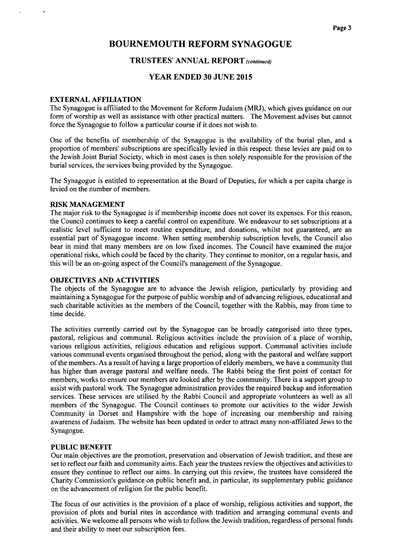#### TRUSTEES' ANNUAL REPORT (continued)

## YEAR ENDED 30 JUNE 2015

#### EXTERNAL AFFILIATION

The Synagogue is affiliated to the Movement for Reform Judaism (MRJ), which gives guidance on our form of worship as well as assistance with other practical matters. The Movement advises but cannot force the Synagogue to follow a particular course if it does not wish to.

One of the benefits of membership of the Synagogue is the availability of the burial plan, and a proportion of members' subscriptions are specifically levied in this respect: these levies are paid on to the Jewish Joint Burial Society, which in most cases is then solely responsible for the provision of the burial services, the services being provided by the Synagogue.

The Synagogue is entitled to representation at the Board of Deputies, for which a per capita charge is levied on the number of members.

#### RISK MANAGEMENT

The major risk to the Synagogue is if membership income does not cover its expenses. For this reason, the Council continues to keep a careful control on expenditure. We endeavour to set subscriptions at a realistic level sufficient to meet routine expenditure, and donations, whilst not guaranteed, are an essential part of Synagogue income. When setting membership subscription levels, the Council also bear in mind that many members are on low fixed incomes. The Council have examined the major operational risks, which could be faced by the charity. They continue to monitor, on a regular basis, and this will be an on-going aspect of the Council's management of the Synagogue.

#### OBJECTIVES AND ACTIVITIES

The objects of the Synagogue are to advance the Jewish religion, particularly by providing and maintaining a Synagogue for the purpose of public worship and of advancing religious, educational and such charitable activities as the members of the Council, together with the Rabbis, may from time to time decide.

The activities currently carried out by the Synagogue can be broadly categorised into three types, pastoral, religious and communal. Religious activities include the provision of a place of worship, various religious activities, religious education and religious support. Communal activities include various communal events organised throughout the period, along with the pastoral and welfare support ofthe members. As a result of having a large proportion of elderly members, we have a community that has higher than average pastoral and welfare needs. The Rabbi being the first point of contact for members, works to ensure our members are looked after by the community. There is a support group to assist with pastoral work. The Synagogue administration provides the required backup and information services. These services are utilised by the Rabbi Council and appropriate volunteers as well as all members of the Synagogue. The Council continues to promote our activities to the wider Jewish Community in Dorset and Hampshire with the hope of increasing our membership and raising awareness of Judaism. The website has been updated in order to attract many non-affiliated Jews to the Synagogue.

#### PUBLIC BENEFIT

Our main objectives are the promotion, preservation and observation of Jewish tradition, and these are set to reflect our faith and community aims. Each year the trustees review the objectives and activities to ensure they continue to reflect our aims. In carrying out this review, the trustees have considered the Charity Commission's guidance on public benefit and, in particular, its supplementary public guidance on the advancement of religion for the public benefit.

The focus of our activities is the provision of a place of worship, religious activities and support, the provision of plots and burial rites in accordance with tradition and arranging communal events and activities. We welcome all persons who wish to follow the Jewish tradition, regardless of personal funds and their ability to meet our subscription fees.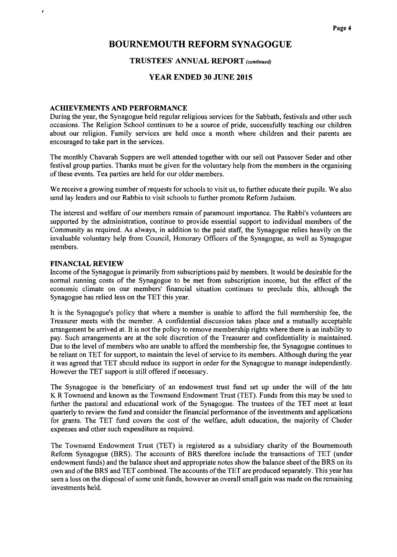#### TRUSTEES' ANNUAL REPORT (continued)

#### YEAR ENDED 30 JUNE 2015

#### ACHIEVEMENTS AND PERFORMANCE

During the year, the Synagogue held regular religious services for the Sabbath, festivals and other such occasions. The Religion School continues to be a source of pride, successfully teaching our children about our religion. Family services are held once a month where children and their parents are encouraged to take part in the services.

The monthly Chavarah Suppers are well attended together with our sell out Passover Seder and other festival group parties. Thanks must be given for the voluntary help from the members in the organising of these events. Tea parties are held for our older members.

We receive a growing number of requests for schools to visit us, to further educate their pupils. We also send lay leaders and our Rabbis to visit schools to further promote Reform Judaism.

The interest and welfare of our members remain of paramount importance. The Rabbi's volunteers are supported by the administration, continue to provide essential support to individual members of the Community as required, As always, in addition to the paid staff, the Synagogue relies heavily on the invaluable voluntary help from Council, Honorary Officers of the Synagogue, as well as Synagogue members.

#### FINANCIAL REVIEW

Income ofthe Synagogue is primarily from subscriptions paid by members. It would be desirable for the normal running costs of the Synagogue to be met from subscription income, but the effect of the economic climate on our members' financial situation continues to preclude this, although the Synagogue has relied less on the TET this year.

It is the Synagogue's policy that where a member is unable to afford the full membership fee, the Treasurer meets with the member. A confidential discussion takes place and a mutually acceptable arrangement be arrived at. It is not the policy to remove membership rights where there is an inability to pay. Such arrangements are at the sole discretion of the Treasurer and confidentiality is maintained. Due to the level of members who are unable to afford the membership fee, the Synagogue continues to be reliant on TET for support, to maintain the level of service to its members. Although during the year it was agreed that TET should reduce its support in order for the Synagogue to manage independently. However the TET support is still offered if necessary.

The Synagogue is the beneficiary of an endowment trust fund set up under the will of the late K R Townsend and known as the Townsend Endowment Trust (TET). Funds from this may be used to further the pastoral and educational work of the Synagogue. The trustees of the TET meet at least quarterly to review the fund and consider the financial performance of the investments and applications for grants. The TET fund covers the cost of the welfare, adult education, the majority of Cheder expenses and other such expenditure as required.

The Townsend Endowment Trust (TET) is registered as a subsidiary charity of the Bournemouth Reform Synagogue (BRS). The accounts of BRS therefore include the transactions of TET (under endowment funds) and the balance sheet and appropriate notes show the balance sheet ofthe BRS on its own and ofthe BRS and TET combined. The accounts ofthe TET are produced separately. This year has seen a loss on the disposal of some unit funds, however an overall small gain was made on the remaining investments held.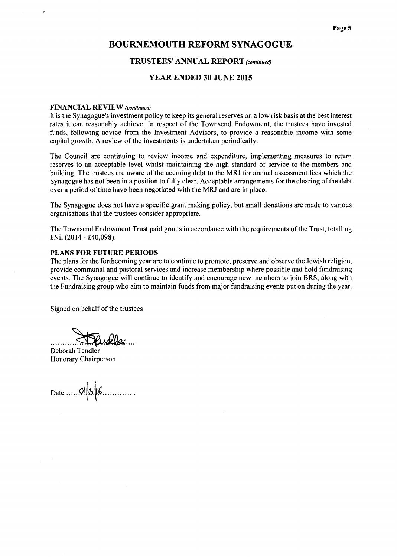### TRUSTEES' ANNUAL REPORT (continued)

#### YEAR ENDED 30 JUNE 2015

#### FINANCIAL REVIEW (continued)

It is the Synagogue's investment policy to keep its general reserves on a low risk basis at the best interest rates it can reasonably achieve. In respect of the Townsend Endowment, the trustees have invested funds, following advice from the Investment Advisors, to provide a reasonable income with some capital growth. A review of the investments is undertaken periodically.

The Council are continuing to review income and expenditure, implementing measures to return reserves to an acceptable level whilst maintaining the high standard of service to the members and building. The trustees are aware of the accruing debt to the MRJ for annual assessment fees which the Synagogue has not been in a position to fully clear. Acceptable arrangements for the clearing of the debt over a period of time have been negotiated with the MRJ and are in place.

The Synagogue does not have a specific grant making policy, but small donations are made to various organisations that the trustees consider appropriate.

The Townsend Endowment Trust paid grants in accordance with the requirements ofthe Trust, totalling £Nil (2014 - £40,098).

#### PLANS FOR FUTURE PERIODS

The plans for the forthcoming year are to continue to promote, preserve and observe the Jewish religion, provide communal and pastoral services and increase membership where possible and hold fundraising events. The Synagogue will continue to identify and encourage new members to join BRS, along with the Fundraising group who aim to maintain funds from major fundraising events put on during the year.

Signed on behalf of the trustees

Pindler

Deborah Tendler Honorary Chairperson

Date  $\ldots$  01 3  $6$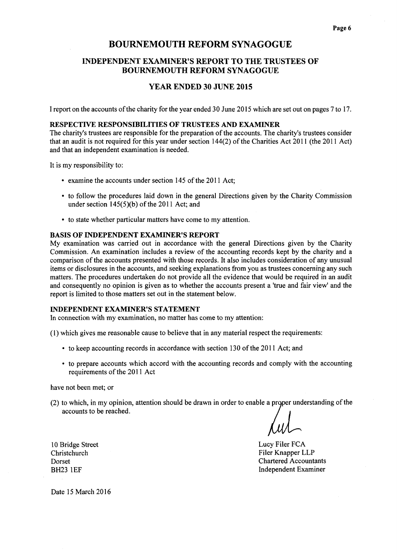# INDEPENDENT EXAMINER'S REPORT TO THE TRUSTEES OF BOURNEMOUTH REFORM SYNAGOGUE

### YEAR ENDED 30 JUNE 2015

I report on the accounts of the charity for the year ended 30 June 2015 which are set out on pages 7 to 17.

#### RESPECTIVE RESPONSIBILITIES OF TRUSTEES AND EXAMINER

The charity's trustees are responsible for the preparation of the accounts. The charity's trustees consider that an audit is not required for this year under section  $144(2)$  of the Charities Act 2011 (the 2011 Act) and that an independent examination is needed.

It is my responsibility to:

- examine the accounts under section 145 of the 2011 Act;
- to follow the procedures laid down in the general Directions given by the Charity Commissic under section  $145(5)(b)$  of the 2011 Act; and
- <sup>~</sup> to state whether particular matters have come to my attention.

#### BASIS OF INDEPENDENT EXAMINER'S REPORT

My examination was carried out in accordance with the general Directions given by the Charity Commission. An examination includes a review of the accounting records kept by the charity and a comparison of the accounts presented with those records. It also includes consideration of any unusual items or disclosures in the accounts, and seeking explanations from you as trustees concerning any such matters. The procedures undertaken do not provide all the evidence that would be required in an audit and consequently no opinion is given as to whether the accounts present a 'true and fair view' and the report is limited to those matters set out in the statement below.

#### INDEPENDENT EXAMINER'S STATEMENT

In connection with my examination, no matter has come to my attention:

(1)which gives me reasonable cause to believe that in any material respect the requirements:

- to keep accounting records in accordance with section 130 of the 2011 Act; and
- ~ to prepare accounts which accord with the accounting records and comply with the accounting requirements of the 2011 Act

have not been met; or

 $(2)$  to which, in my opinion, attention should be drawn in order to enable a proper understanding of the accounts to be reached.

Lucy Filer FCA Filer Knapper LLP Chartered Accountants Independent Examiner

10 Bridge Street Christchurch Dorset BH23 IEF

Date 15 March 2016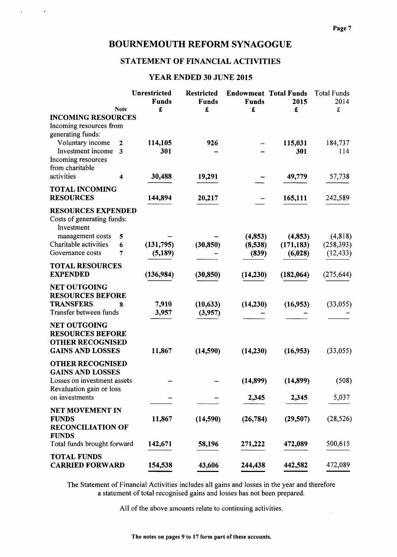$\hat{\mathcal{A}}$ 

 $\sim 10$ 

# STATEMENT OF FINANCIAL ACTIVITIES

# YEAR ENDED 30 JUNE 2015

|                             |             | Unrestricted | <b>Restricted</b> | <b>Endowment Total Funds</b> |            | <b>Total Funds</b> |
|-----------------------------|-------------|--------------|-------------------|------------------------------|------------|--------------------|
|                             |             | <b>Funds</b> | <b>Funds</b>      | <b>Funds</b>                 | 2015       | 2014               |
|                             | <b>Note</b> | £            | £                 | £                            | £          | £                  |
| <b>INCOMING RESOURCES</b>   |             |              |                   |                              |            |                    |
| Incoming resources from     |             |              |                   |                              |            |                    |
| generating funds:           |             |              |                   |                              |            |                    |
| Voluntary income            | 2           | 114,105      | 926               |                              | 115,031    | 184,737            |
| Investment income           | 3           | 301          |                   |                              | 301        | 114                |
| Incoming resources          |             |              |                   |                              |            |                    |
| from charitable             |             |              |                   |                              |            |                    |
| activities                  | 4           | 30,488       | 19,291            |                              | 49,779     | 57,738             |
| <b>TOTAL INCOMING</b>       |             |              |                   |                              |            |                    |
| <b>RESOURCES</b>            |             | 144,894      | 20,217            |                              | 165,111    | 242,589            |
|                             |             |              |                   |                              |            |                    |
| <b>RESOURCES EXPENDED</b>   |             |              |                   |                              |            |                    |
| Costs of generating funds:  |             |              |                   |                              |            |                    |
| Investment                  |             |              |                   |                              |            |                    |
| management costs            | 5           |              |                   | (4, 853)                     | (4, 853)   | (4, 818)           |
| Charitable activities       | 6           | (131,795)    | (30, 850)         | (8,538)                      | (171, 183) | (258, 393)         |
| Governance costs            | 7           | (5,189)      |                   | (839)                        | (6,028)    | (12, 433)          |
| <b>TOTAL RESOURCES</b>      |             |              |                   |                              |            |                    |
| <b>EXPENDED</b>             |             | (136,984)    | (30, 850)         | (14,230)                     | (182,064)  | (275, 644)         |
|                             |             |              |                   |                              |            |                    |
| <b>NET OUTGOING</b>         |             |              |                   |                              |            |                    |
| <b>RESOURCES BEFORE</b>     |             |              |                   |                              |            |                    |
| <b>TRANSFERS</b>            | 8           | 7,910        | (10, 633)         | (14,230)                     | (16,953)   | (33, 055)          |
| Transfer between funds      |             | 3,957        | (3,957)           |                              |            |                    |
| <b>NET OUTGOING</b>         |             |              |                   |                              |            |                    |
| <b>RESOURCES BEFORE</b>     |             |              |                   |                              |            |                    |
| <b>OTHER RECOGNISED</b>     |             |              |                   |                              |            |                    |
| <b>GAINS AND LOSSES</b>     |             | 11,867       | (14,590)          | (14,230)                     | (16, 953)  | (33, 055)          |
|                             |             |              |                   |                              |            |                    |
| <b>OTHER RECOGNISED</b>     |             |              |                   |                              |            |                    |
| <b>GAINS AND LOSSES</b>     |             |              |                   |                              |            |                    |
| Losses on investment assets |             |              |                   | (14, 899)                    | (14, 899)  | (508)              |
| Revaluation gain or loss    |             |              |                   |                              |            |                    |
| on investments              |             |              |                   | 2,345                        | 2,345      | 5,037              |
| NET MOVEMENT IN             |             |              |                   |                              |            |                    |
| <b>FUNDS</b>                |             | 11,867       | (14, 590)         | (26, 784)                    | (29, 507)  | (28, 526)          |
| <b>RECONCILIATION OF</b>    |             |              |                   |                              |            |                    |
| <b>FUNDS</b>                |             |              |                   |                              |            |                    |
| Total funds brought forward |             | 142,671      | 58,196            | 271,222                      | 472,089    | 500,615            |
|                             |             |              |                   |                              |            |                    |
| <b>TOTAL FUNDS</b>          |             |              |                   |                              |            |                    |
| <b>CARRIED FORWARD</b>      |             | 154,538      | 43,606            | 244,438                      | 442,582    | 472,089            |

The Statement of Financial Activities includes all gains and losses in the year and therefore a statement of total recognised gains and losses has not been prepared.

All of the above amounts relate to continuing activities.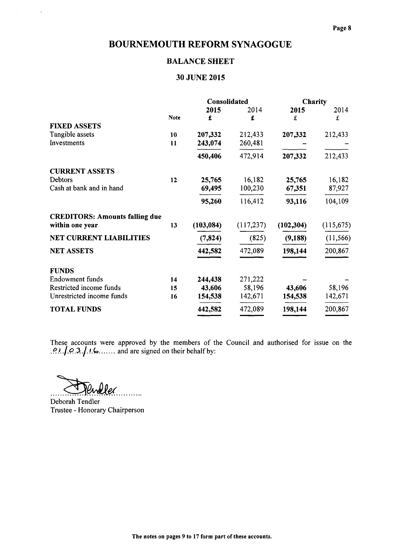# BALANCE SHEET

# 30 JUNE 2015

|                                       |             | Consolidated |            | Charity    |            |
|---------------------------------------|-------------|--------------|------------|------------|------------|
|                                       |             | 2015         | 2014       | 2015       | 2014       |
|                                       | <b>Note</b> | £            | £          | £          | £          |
| <b>FIXED ASSETS</b>                   |             |              |            |            |            |
| Tangible assets                       | 10          | 207,332      | 212,433    | 207,332    | 212,433    |
| Investments                           | 11          | 243,074      | 260,481    |            |            |
|                                       |             | 450,406      | 472,914    | 207,332    | 212,433    |
| <b>CURRENT ASSETS</b>                 |             |              |            |            |            |
| Debtors                               | 12          | 25,765       | 16,182     | 25,765     | 16,182     |
| Cash at bank and in hand              |             | 69,495       | 100,230    | 67,351     | 87,927     |
|                                       |             | 95,260       | 116,412    | 93,116     | 104,109    |
| <b>CREDITORS: Amounts falling due</b> |             |              |            |            |            |
| within one year                       | 13          | (103, 084)   | (117, 237) | (102, 304) | (115, 675) |
| NET CURRENT LIABILITIES               |             | (7, 824)     | (825)      | (9, 188)   | (11, 566)  |
| <b>NET ASSETS</b>                     |             | 442,582      | 472,089    | 198,144    | 200,867    |
| <b>FUNDS</b>                          |             |              |            |            |            |
| Endowment funds                       | 14          | 244,438      | 271,222    |            |            |
| Restricted income funds               | 15          | 43,606       | 58,196     | 43,606     | 58,196     |
| Unrestricted income funds             | 16          | 154,538      | 142,671    | 154,538    | 142,671    |
| <b>TOTAL FUNDS</b>                    |             | 442,582      | 472,089    | 198,144    | 200,867    |

These accounts were approved by the members of the Council and authorised for issue on the see accounts were approved by the members of 1.  $1, 0, 3, 1, 1, 6, \ldots$  and are signed on their behalf by:

. . . . . . .

 $\mathcal{A}^{\text{max}}_{\text{max}}$  and  $\mathcal{A}^{\text{max}}_{\text{max}}$ 

Deborah Tendler Trustee - Honorary Chairperson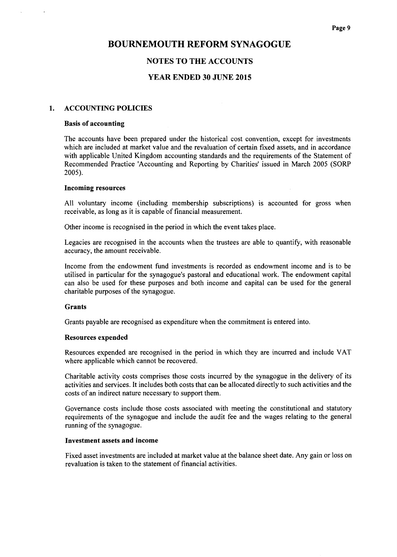## NOTES TO THE ACCOUNTS

### YEAR ENDED 30 JUNE 2015

#### 1. ACCOUNTING POLICIES

#### Basis of accounting

The accounts have been prepared under the historical cost convention, except for investments which are included at market value and the revaluation of certain fixed assets, and in accordance with applicable United Kingdom accounting standards and the requirements of the Statement of Recommended Practice 'Accounting and Reporting by Charities' issued in March 2005 (SORP 2005).

#### Incoming resources

All voluntary income (including membership subscriptions) is accounted for gross when receivable, as long as it is capable of financial measurement.

Other income is recognised in the period in which the event takes place.

Legacies are recognised in the accounts when the trustees are able to quantify, with reasonable accuracy, the amount receivable.

Income from the endowment fund investments is recorded as endowment income and is to be utilised in particular for the synagogue's pastoral and educational work. The endowment capital can also be used for these purposes and both income and capital can be used for the general charitable purposes of the synagogue.

#### Grants

Grants payable are recognised as expenditure when the commitment is entered into.

#### Resources expended

Resources expended are recognised in the period in which they are incurred and include VAT where applicable which cannot be recovered.

Charitable activity costs comprises those costs incurred by the synagogue in the delivery of its activities and services. It includes both costs that can be allocated directly to such activities and the costs of an indirect nature necessary to support them.

Governance costs include those costs associated with meeting the constitutional and statutory requirements of the synagogue and include the audit fee and the wages relating to the general running of the synagogue.

#### Investment assets and income

Fixed asset investments are included at market value at the balance sheet date. Any gain or loss on revaluation is taken to the statement of financial activities.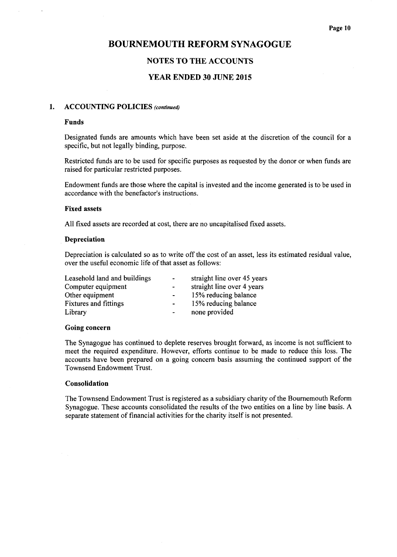## NOTES TO THE ACCOUNTS

### YEAR ENDED 30 JUNE 2015

### 1. ACCOUNTING POLICIES (continued)

#### Funds

Designated funds are amounts which have been set aside at the discretion of the council for a specific, but not legally binding, purpose.

Restricted funds are to be used for specific purposes as requested by the donor or when funds are raised for particular restricted purposes.

Endowment funds are those where the capital is invested and the income generated is to be used in accordance with the benefactor's instructions.

#### Fixed assets

All fixed assets are recorded at cost, there are no uncapitalised fixed assets.

#### Depreciation

Depreciation is calculated so as to write off the cost of an asset, less its estimated residual value, over the useful economic life of that asset as follows:

| Leasehold land and buildings | $\blacksquare$ | straight line over 45 years |
|------------------------------|----------------|-----------------------------|
| Computer equipment           | $\sim$         | straight line over 4 years  |
| Other equipment              | $\blacksquare$ | 15% reducing balance        |
| <b>Fixtures and fittings</b> | $\blacksquare$ | 15% reducing balance        |
| Library                      | $\blacksquare$ | none provided               |

#### Going concern

The Synagogue has continued to deplete reserves brought forward, as income is not sufficient to meet the required expenditure. However, efforts continue to be made to reduce this loss. The accounts have been prepared on a going concern basis assuming the continued support of the Townsend Endowment Trust.

#### Consolidation

The Townsend Endowment Trust is registered as a subsidiary charity ofthe Bournemouth Reform Synagogue. These accounts consolidated the results of the two entities on a line by line basis. A separate statement of financial activities for the charity itself is not presented.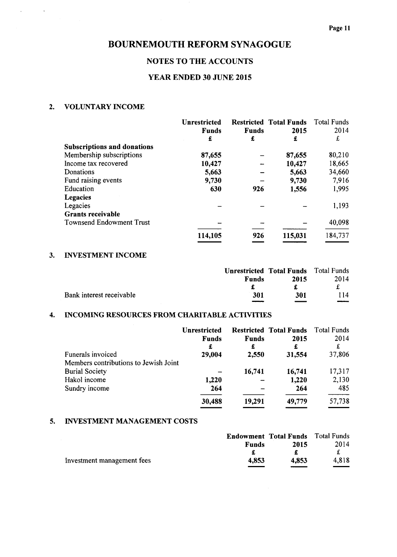# NOTES TO THE ACCOUNTS

# YEAR ENDED 30 JUNE 2015

# 2. VOLUNTARY INCOME

 $\ddot{\phantom{a}}$ 

|                                    | <b>Unrestricted</b><br><b>Funds</b> | <b>Funds</b> | <b>Restricted Total Funds</b><br>2015 | <b>Total Funds</b><br>2014 |
|------------------------------------|-------------------------------------|--------------|---------------------------------------|----------------------------|
|                                    | £                                   | £            | £                                     | £                          |
| <b>Subscriptions and donations</b> |                                     |              |                                       |                            |
| Membership subscriptions           | 87,655                              |              | 87,655                                | 80,210                     |
| Income tax recovered               | 10,427                              |              | 10,427                                | 18,665                     |
| Donations                          | 5,663                               |              | 5,663                                 | 34,660                     |
| Fund raising events                | 9,730                               |              | 9,730                                 | 7,916                      |
| Education                          | 630                                 | 926          | 1,556                                 | 1,995                      |
| <b>Legacies</b>                    |                                     |              |                                       |                            |
| Legacies                           |                                     |              |                                       | 1,193                      |
| <b>Grants receivable</b>           |                                     |              |                                       |                            |
| <b>Townsend Endowment Trust</b>    |                                     |              |                                       | 40,098                     |
|                                    | 114,105                             | 926          | 115,031                               | 184,737                    |

## 3. INVESTMENT INCOME

|                          |              | <b>Unrestricted Total Funds</b> Total Funds |      |
|--------------------------|--------------|---------------------------------------------|------|
|                          | <b>Funds</b> | 2015                                        | 2014 |
|                          |              |                                             |      |
| Bank interest receivable | 301          | 301                                         | 114  |
|                          |              |                                             |      |

#### 4. INCOMING RESOURCES FROM CHARITABLE ACTIVITIES

|                                       | <b>Unrestricted</b><br><b>Funds</b><br>£ | <b>Funds</b><br>£ | <b>Restricted Total Funds</b><br>2015<br>£ | Total Funds<br>2014<br>£ |
|---------------------------------------|------------------------------------------|-------------------|--------------------------------------------|--------------------------|
| Funerals invoiced                     | 29,004                                   | 2,550             | 31,554                                     | 37,806                   |
| Members contributions to Jewish Joint |                                          |                   |                                            |                          |
| <b>Burial Society</b>                 |                                          | 16,741            | 16,741                                     | 17,317                   |
| Hakol income                          | 1,220                                    |                   | 1,220                                      | 2,130                    |
| Sundry income                         | 264                                      |                   | 264                                        | 485                      |
|                                       | 30,488                                   | 19,291            | 49,779                                     | 57,738                   |

### 5. INVESTMENT MANAGEMENT COSTS

|                            | <b>Endowment Total Funds</b> Total Funds |       |       |
|----------------------------|------------------------------------------|-------|-------|
|                            | <b>Funds</b>                             | 2015  | 2014  |
|                            |                                          |       |       |
| Investment management fees | 4.853                                    | 4.853 | 4.818 |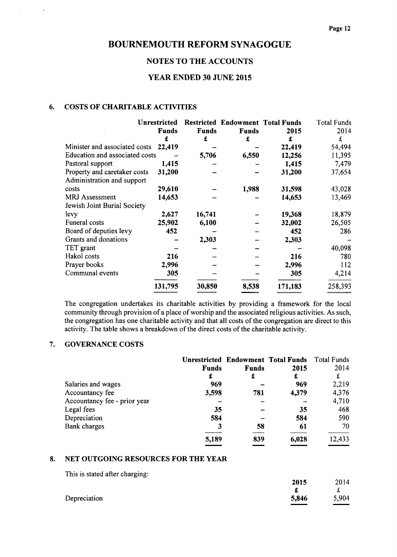# NOTES TO THE ACCOUNTS

# YEAR ENDED 30 JUNE 2015

### 6. COSTS OF CHARITABLE ACTIVITIES

 $\bar{z}$ 

 $\ddot{\phantom{a}}$ 

|                                | Unrestricted |              | <b>Restricted Endowment Total Funds</b> |         | <b>Total Funds</b> |
|--------------------------------|--------------|--------------|-----------------------------------------|---------|--------------------|
|                                | <b>Funds</b> | <b>Funds</b> | <b>Funds</b>                            | 2015    | 2014               |
|                                | £            | £            | £                                       | £       | £                  |
| Minister and associated costs  | 22,419       |              |                                         | 22,419  | 54,494             |
| Education and associated costs |              | 5,706        | 6,550                                   | 12,256  | 11,395             |
| Pastoral support               | 1,415        |              |                                         | 1,415   | 7,479              |
| Property and caretaker costs   | 31,200       |              |                                         | 31,200  | 37,654             |
| Administration and support     |              |              |                                         |         |                    |
| costs                          | 29,610       |              | 1,988                                   | 31,598  | 43,028             |
| <b>MRJ</b> Assessment          | 14,653       |              |                                         | 14,653  | 13,469             |
| Jewish Joint Burial Society    |              |              |                                         |         |                    |
| levy                           | 2,627        | 16,741       |                                         | 19,368  | 18,879             |
| Funeral costs                  | 25,902       | 6,100        |                                         | 32,002  | 26,505             |
| Board of deputies levy         | 452          |              |                                         | 452     | 286                |
| Grants and donations           |              | 2,303        |                                         | 2,303   |                    |
| TET grant                      |              |              |                                         |         | 40,098             |
| Hakol costs                    | 216          |              |                                         | 216     | 780                |
| Prayer books                   | 2,996        |              |                                         | 2,996   | 112                |
| Communal events                | 305          |              |                                         | 305     | 4,214              |
|                                | 131,795      | 30,850       | 8,538                                   | 171,183 | 258,393            |

The congregation undertakes its charitable activities by providing a framework for the local community through provision of a place of worship and the associated religious activities. As such, the congregation has one charitable activity and that all costs of the congregation are direct to this activity. The table shows a breakdown of the direct costs of the charitable activity.

### 7. GOVERNANCE COSTS

|                              |              |              | <b>Unrestricted Endowment Total Funds</b> | Total Funds |
|------------------------------|--------------|--------------|-------------------------------------------|-------------|
|                              | <b>Funds</b> | <b>Funds</b> | 2015                                      | 2014        |
|                              | £            | £            | £                                         | £           |
| Salaries and wages           | 969          |              | 969                                       | 2,219       |
| Accountancy fee              | 3,598        | 781          | 4,379                                     | 4,376       |
| Accountancy fee - prior year |              |              |                                           | 4,710       |
| Legal fees                   | 35           |              | 35                                        | 468         |
| Depreciation                 | 584          |              | 584                                       | 590         |
| Bank charges                 | 3            | 58           | 61                                        | 70          |
|                              | 5,189        | 839          | 6,028                                     | 12,433      |

#### 8. NET OUTGOING RESOURCES FOR THE YEAR

This is stated after charging:

| ິ            | 2015  | 2014  |
|--------------|-------|-------|
|              |       | £     |
| Depreciation | 5,846 | 5,904 |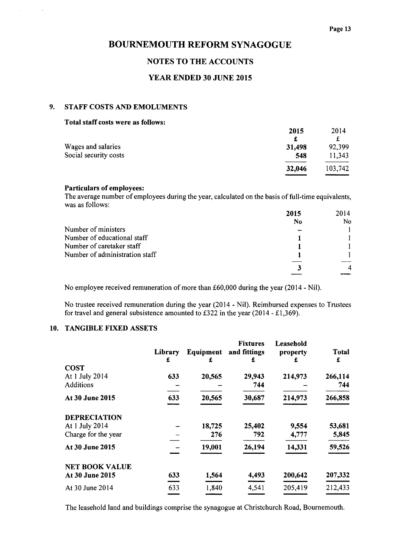# NOTES TO THE ACCOUNTS

# YEAR ENDED 30 JUNE 2015

# 9. STAFF COSTS AND EMOLUMENTS

 $\mathcal{L}^{(1)}$ 

 $\sim$   $\alpha$ 

| Total staff costs were as follows: |        |         |
|------------------------------------|--------|---------|
|                                    | 2015   | 2014    |
|                                    | £      | £       |
| Wages and salaries                 | 31,498 | 92,399  |
| Social security costs              | 548    | 11,343  |
|                                    | 32,046 | 103,742 |
|                                    |        |         |

### Particulars of employees:

The average number of employees during the year, calculated on the basis of full-time equivalent was as follows:

|                                | 2015 | 2014 |
|--------------------------------|------|------|
|                                | No   | No.  |
| Number of ministers            |      |      |
| Number of educational staff    |      |      |
| Number of caretaker staff      |      |      |
| Number of administration staff |      |      |
|                                |      |      |
|                                |      |      |
|                                |      |      |

No employee received remuneration of more than £60,000 during the year (2014 - Nil).

No trustee received remuneration during the year (2014 - Nil). Reimbursed expenses to Trustees for travel and general subsistence amounted to £322 in the year (2014 - £1,369).

## 10. TANGIBLE FIXED ASSETS

| Total<br>£ |
|------------|
|            |
| 266,114    |
| 744        |
| 266,858    |
|            |
| 53,681     |
| 5,845      |
| 59,526     |
|            |
| 207,332    |
| 212,433    |
|            |

The leasehold land and buildings comprise the synagogue at Christchurch Road, Bournemouth.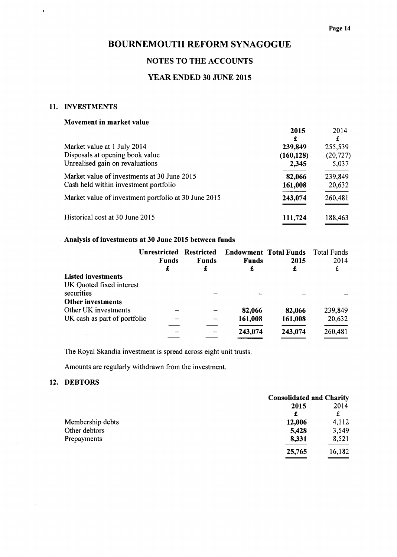# NOTES TO THE ACCOUNTS

# YEAR ENDED 30 JUNE 2015

## 11. INVESTMENTS

 $\ddot{\phantom{0}}$ 

 $\bar{1}$ 

### Movement in market value

|                                                      | 2015         | 2014<br>£ |
|------------------------------------------------------|--------------|-----------|
| Market value at 1 July 2014                          | £<br>239,849 | 255,539   |
| Disposals at opening book value                      | (160, 128)   | (20, 727) |
| Unrealised gain on revaluations                      | 2,345        | 5,037     |
| Market value of investments at 30 June 2015          | 82,066       | 239,849   |
| Cash held within investment portfolio                | 161,008      | 20,632    |
| Market value of investment portfolio at 30 June 2015 | 243,074      | 260,481   |
| Historical cost at 30 June 2015                      | 111,724      | 188,463   |

# Analysis of investments at 30 June 2015 between funds

|                              | <b>Unrestricted</b> | <b>Restricted</b> |              | <b>Endowment Total Funds</b> | Total Funds |
|------------------------------|---------------------|-------------------|--------------|------------------------------|-------------|
|                              | <b>Funds</b>        | <b>Funds</b>      | <b>Funds</b> | 2015                         | 2014        |
|                              | £                   | £                 | £            | £                            | £           |
| <b>Listed investments</b>    |                     |                   |              |                              |             |
| UK Quoted fixed interest     |                     |                   |              |                              |             |
| securities                   |                     |                   |              |                              |             |
| <b>Other investments</b>     |                     |                   |              |                              |             |
| Other UK investments         |                     |                   | 82,066       | 82,066                       | 239,849     |
| UK cash as part of portfolio |                     |                   | 161,008      | 161,008                      | 20,632      |
|                              |                     |                   | 243,074      | 243,074                      | 260,481     |
|                              |                     |                   |              |                              |             |

The Royal Skandia investment is spread across eight unit trusts.

 $\mathcal{L}^{\mathcal{L}}$ 

Amounts are regularly withdrawn from the investment.

# 12. DEBTORS

|                  | <b>Consolidated and Charity</b> |  |
|------------------|---------------------------------|--|
|                  | 2014<br>2015                    |  |
|                  | £                               |  |
| Membership debts | 4,112<br>12,006                 |  |
| Other debtors    | 3,549<br>5,428                  |  |
| Prepayments      | 8,521<br>8,331                  |  |
|                  | 16,182<br>25,765                |  |
|                  |                                 |  |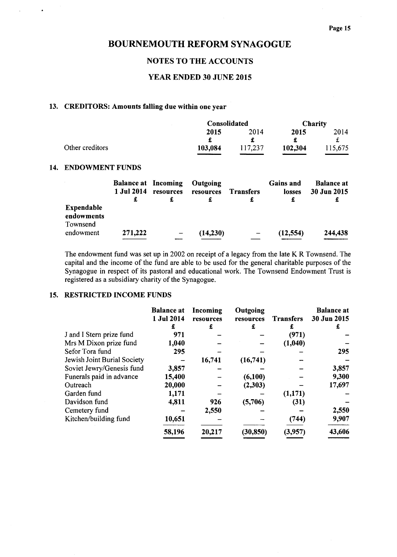# NOTES TO THE ACCOUNTS

# YEAR ENDED 30 JUNE 2015

## 13. CREDITORS: Amounts falling due within one year

|                 |         | Consolidated |         | <b>Charity</b> |  |
|-----------------|---------|--------------|---------|----------------|--|
|                 | 2015    | 2014         | 2015    | 2014           |  |
|                 |         |              |         |                |  |
| Other creditors | 103,084 | 117,237      | 102,304 | 115,675        |  |
|                 |         |              |         |                |  |

#### 14. ENDOWMENT FUNDS

 $\bullet$ 

 $\ddot{\phantom{a}}$ 

|                                      | <b>Balance at Incoming</b><br>1 Jul 2014<br>£ | resources | Outgoing<br>resources | <b>Transfers</b> | <b>Gains and</b><br>losses<br>£ | <b>Balance at</b><br>30 Jun 2015 |
|--------------------------------------|-----------------------------------------------|-----------|-----------------------|------------------|---------------------------------|----------------------------------|
| Expendable<br>endowments<br>Townsend |                                               |           |                       |                  |                                 |                                  |
| endowment                            | 271,222                                       |           | (14,230)              |                  | (12, 554)                       | 244,438                          |

The endowment fund was set up in 2002 on receipt of a legacy from the late K R Townsend. The capital and the income of the fund are able to be used for the general charitable purposes of the Synagogue in respect of its pastoral and educational work. The Townsend Endowment Trust is registered as a subsidiary charity of the Synagogue.

# 15. RESTRICTED INCOME FUNDS

|                             | <b>Balance at</b> | Incoming  | Outgoing  |                  | <b>Balance at</b> |
|-----------------------------|-------------------|-----------|-----------|------------------|-------------------|
|                             | 1 Jul 2014        | resources | resources | <b>Transfers</b> | 30 Jun 2015       |
|                             | £                 | £         | £         | £                | £                 |
| J and I Stern prize fund    | 971               |           |           | (971)            |                   |
| Mrs M Dixon prize fund      | 1,040             |           |           | (1,040)          |                   |
| Sefor Tora fund             | 295               |           |           |                  | 295               |
| Jewish Joint Burial Society |                   | 16,741    | (16,741)  |                  |                   |
| Soviet Jewry/Genesis fund   | 3,857             |           |           |                  | 3,857             |
| Funerals paid in advance    | 15,400            |           | (6,100)   |                  | 9,300             |
| Outreach                    | 20,000            |           | (2,303)   |                  | 17,697            |
| Garden fund                 | 1,171             |           |           | (1,171)          |                   |
| Davidson fund               | 4,811             | 926       | (5,706)   | (31)             |                   |
| Cemetery fund               |                   | 2,550     |           |                  | 2,550             |
| Kitchen/building fund       | 10,651            |           |           | (744)            | 9,907             |
|                             | 58,196            | 20,217    | (30, 850) | (3,957)          | 43,606            |
|                             |                   |           |           |                  |                   |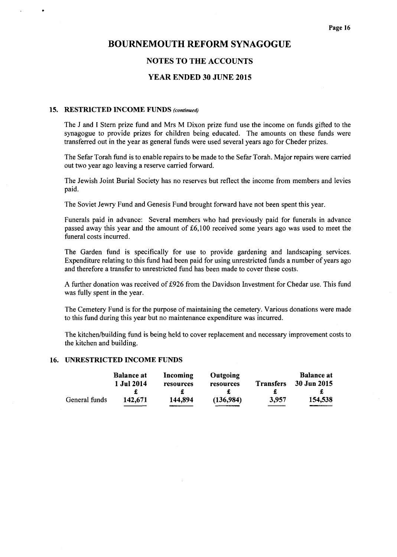### NOTES TO THE ACCOUNTS

### YEAR ENDED 30 JUNE 2015

#### 15. RESTRICTED INCOME FUNDS (continued)

The J and I Stern prize fund and Mrs M Dixon prize fund use the income on funds gifted to the synagogue to provide prizes for children being educated. The amounts on these funds were transferred out in the year as general funds were used several years ago for Cheder prizes.

The Sefar Torah fund is to enable repairs to be made to the Sefar Torah. Major repairs were carried out two year ago leaving a reserve carried forward.

The Jewish Joint Burial Society has no reserves but reflect the income from members and levies paid.

The Soviet Jewry Fund and Genesis Fund brought forward have not been spent this year.

Funerals paid in advance: Several members who had previously paid for funerals in advance passed away this year and the amount of  $£6,100$  received some years ago was used to meet the funeral costs incurred.

The Garden fund is specifically for use to provide gardening and landscaping services. Expenditure relating to this fund had been paid for using unrestricted funds a number of years ago and therefore a transfer to unrestricted fund has been made to cover these costs.

A further donation was received of £926 from the Davidson Investment for Chedar use. This fund was fully spent in the year.

The Cemetery Fund is for the purpose of maintaining the cemetery. Various donations were made to this fund during this year but no maintenance expenditure was incurred.

The kitchen/building fund is being held to cover replacement and necessary improvement costs to the kitchen and building.

### 16. UNRESTRICTED INCOME FUNDS

|               | <b>Balance at</b> | Incoming  | <b>Outgoing</b> |                  | <b>Balance at</b> |
|---------------|-------------------|-----------|-----------------|------------------|-------------------|
|               | 1 Jul 2014        | resources | resources       | <b>Transfers</b> | 30 Jun 2015       |
|               |                   |           |                 |                  |                   |
| General funds | 142.671           | 144.894   | (136,984)       | 3,957            | 154,538           |